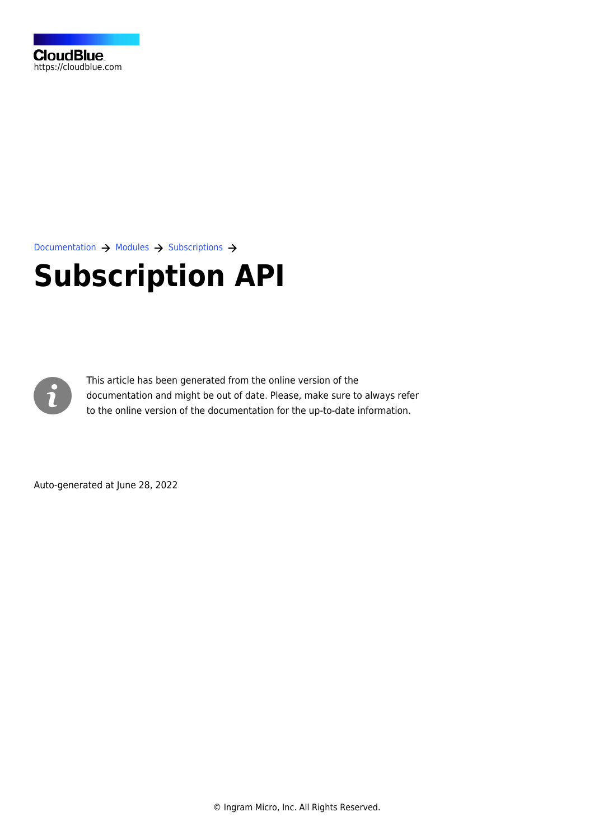

[Documentation](https://connect.cloudblue.com/documentation)  $\rightarrow$  [Modules](https://connect.cloudblue.com/community/modules/)  $\rightarrow$  [Subscriptions](https://connect.cloudblue.com/community/modules/subscriptions/)  $\rightarrow$ 

# **[Subscription API](https://connect.cloudblue.com/community/modules/subscriptions/subscription-api/)**



This article has been generated from the online version of the documentation and might be out of date. Please, make sure to always refer to the online version of the documentation for the up-to-date information.

Auto-generated at June 28, 2022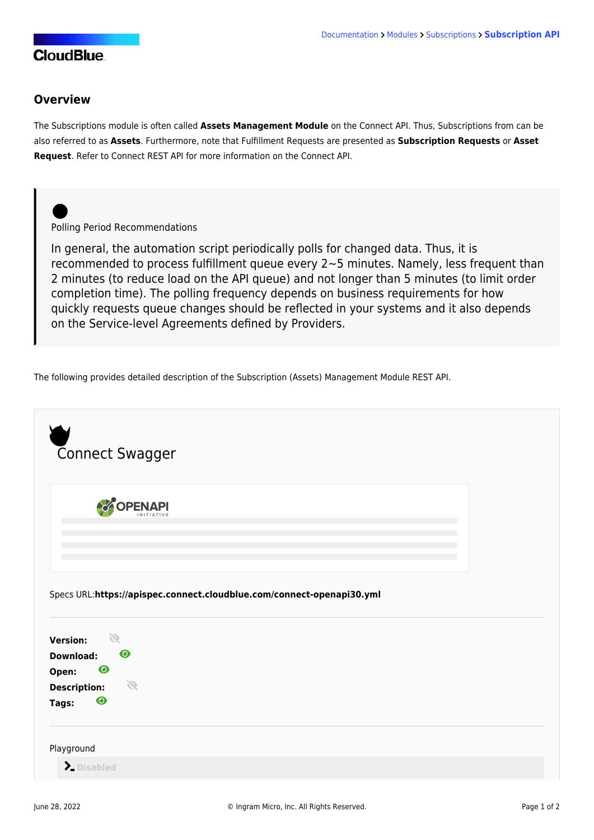### **CloudBlue**

#### **Overview**

The Subscriptions module is often called **Assets Management Module** on the Connect API. Thus, [Subscriptions](https://connect.cloudblue.com/community/modules/subscriptions/) from can be also referred to as **Assets**. Furthermore, note that [Fulfillment Requests](https://connect.cloudblue.com/community/modules/subscriptions/fulfillment-requests/) are presented as **Subscription Requests** or **Asset Request**. Refer to [Connect REST API](https://connect.cloudblue.com/community/api/) for more information on the Connect API.

#### Polling Period Recommendations

In general, the automation script periodically polls for changed data. Thus, it is recommended to process fulfillment queue every 2~5 minutes. Namely, less frequent than 2 minutes (to reduce load on the API queue) and not longer than 5 minutes (to limit order completion time). The polling frequency depends on business requirements for how quickly requests queue changes should be reflected in your systems and it also depends on the Service-level Agreements defined by Providers.

The following provides detailed description of the Subscription (Assets) Management Module REST API.

| Connect Swagger                                                                         |               |                                                                       |  |  |
|-----------------------------------------------------------------------------------------|---------------|-----------------------------------------------------------------------|--|--|
|                                                                                         | COPENAPI      |                                                                       |  |  |
|                                                                                         |               |                                                                       |  |  |
|                                                                                         |               |                                                                       |  |  |
|                                                                                         |               |                                                                       |  |  |
|                                                                                         |               | Specs URL:https://apispec.connect.cloudblue.com/connect-openapi30.yml |  |  |
| 61                                                                                      |               |                                                                       |  |  |
|                                                                                         | $\bullet$     |                                                                       |  |  |
| $\boldsymbol{\odot}$                                                                    |               |                                                                       |  |  |
|                                                                                         | $\mathscr{D}$ |                                                                       |  |  |
| <b>Version:</b><br><b>Download:</b><br>Open:<br><b>Description:</b><br>$\odot$<br>Tags: |               |                                                                       |  |  |
|                                                                                         |               |                                                                       |  |  |
| Playground<br>> Disabled                                                                |               |                                                                       |  |  |